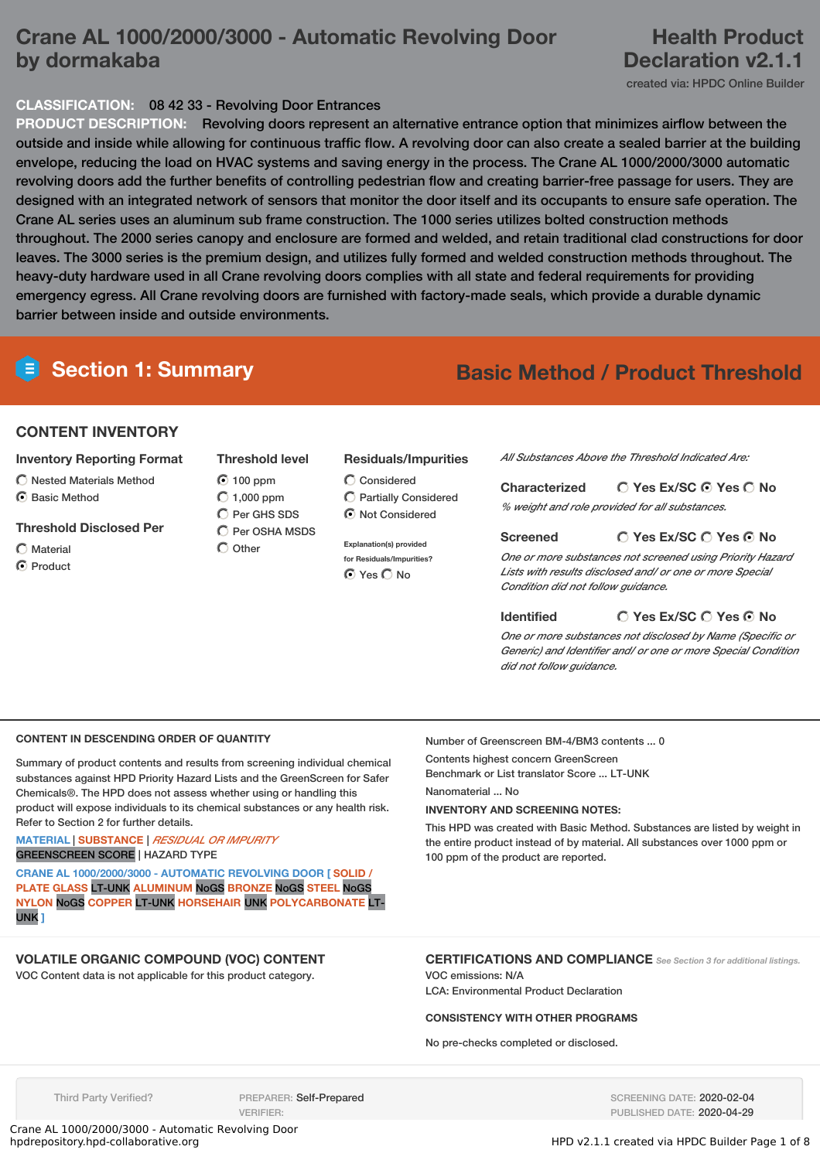# **Crane AL 1000/2000/3000 - Automatic Revolving Door by dormakaba**

# **Health Product Declaration v2.1.1**

created via: HPDC Online Builder

## **CLASSIFICATION:** 08 42 33 - Revolving Door Entrances

**PRODUCT DESCRIPTION:** Revolving doors represent an alternative entrance option that minimizes airflow between the outside and inside while allowing for continuous traffic flow. A revolving door can also create a sealed barrier at the building envelope, reducing the load on HVAC systems and saving energy in the process. The Crane AL 1000/2000/3000 automatic revolving doors add the further benefits of controlling pedestrian flow and creating barrier-free passage for users. They are designed with an integrated network of sensors that monitor the door itself and its occupants to ensure safe operation. The Crane AL series uses an aluminum sub frame construction. The 1000 series utilizes bolted construction methods throughout. The 2000 series canopy and enclosure are formed and welded, and retain traditional clad constructions for door leaves. The 3000 series is the premium design, and utilizes fully formed and welded construction methods throughout. The heavy-duty hardware used in all Crane revolving doors complies with all state and federal requirements for providing emergency egress. All Crane revolving doors are furnished with factory-made seals, which provide a durable dynamic barrier between inside and outside environments.

# **Section 1: Summary Basic Method / Product Threshold**

### **CONTENT INVENTORY**

#### **Inventory Reporting Format**

- $\bigcap$  Nested Materials Method
- **G** Basic Method

#### **Threshold Disclosed Per**

 $\bigcap$  Material C Product

## **Threshold level**  $\bigcirc$  100 ppm  $\bigcirc$  1,000 ppm

 $O$  Per GHS SDS  $\bigcirc$  Per OSHA MSDS

 $\bigcirc$  Other

#### **Residuals/Impurities**

Considered Partially Considered  $\odot$  Not Considered

**Explanation(s) provided for Residuals/Impurities?**  $\bigcap$  Yes  $\bigcap$  No.

*All Substances Above the Threshold Indicated Are:*

#### **Yes Ex/SC Yes No Characterized**

*% weight and role provided for all substances.*

## **Screened**

**Yes Ex/SC Yes No**

*One or more substances not screened using Priority Hazard Lists with results disclosed and/ or one or more Special Condition did not follow guidance.*

#### **Identified**

# **Yes Ex/SC Yes No**

*One or more substances not disclosed by Name (Specific or Generic) and Identifier and/ or one or more Special Condition did not follow guidance.*

# **CONTENT IN DESCENDING ORDER OF QUANTITY**

Summary of product contents and results from screening individual chemical substances against HPD Priority Hazard Lists and the GreenScreen for Safer Chemicals®. The HPD does not assess whether using or handling this product will expose individuals to its chemical substances or any health risk. Refer to Section 2 for further details.

#### **MATERIAL** | **SUBSTANCE** | *RESIDUAL OR IMPURITY* GREENSCREEN SCORE | HAZARD TYPE

**CRANE AL 1000/2000/3000 - AUTOMATIC REVOLVING DOOR [ SOLID / PLATE GLASS** LT-UNK **ALUMINUM** NoGS **BRONZE** NoGS **STEEL** NoGS **NYLON** NoGS **COPPER** LT-UNK **HORSEHAIR** UNK **POLYCARBONATE** LT-UNK **]**

**VOLATILE ORGANIC COMPOUND (VOC) CONTENT**

VOC Content data is not applicable for this product category.

Number of Greenscreen BM-4/BM3 contents ... 0

Contents highest concern GreenScreen Benchmark or List translator Score ... LT-UNK Nanomaterial ... No

**INVENTORY AND SCREENING NOTES:**

This HPD was created with Basic Method. Substances are listed by weight in the entire product instead of by material. All substances over 1000 ppm or 100 ppm of the product are reported.

# **CERTIFICATIONS AND COMPLIANCE** *See Section <sup>3</sup> for additional listings.*

VOC emissions: N/A LCA: Environmental Product Declaration

## **CONSISTENCY WITH OTHER PROGRAMS**

No pre-checks completed or disclosed.

Third Party Verified? PREPARER: Self-Prepared VERIFIER:

SCREENING DATE: 2020-02-04 PUBLISHED DATE: 2020-04-29

Crane AL 1000/2000/3000 - Automatic Revolving Door

HPD v2.1.1 created via HPDC Builder Page 1 of 8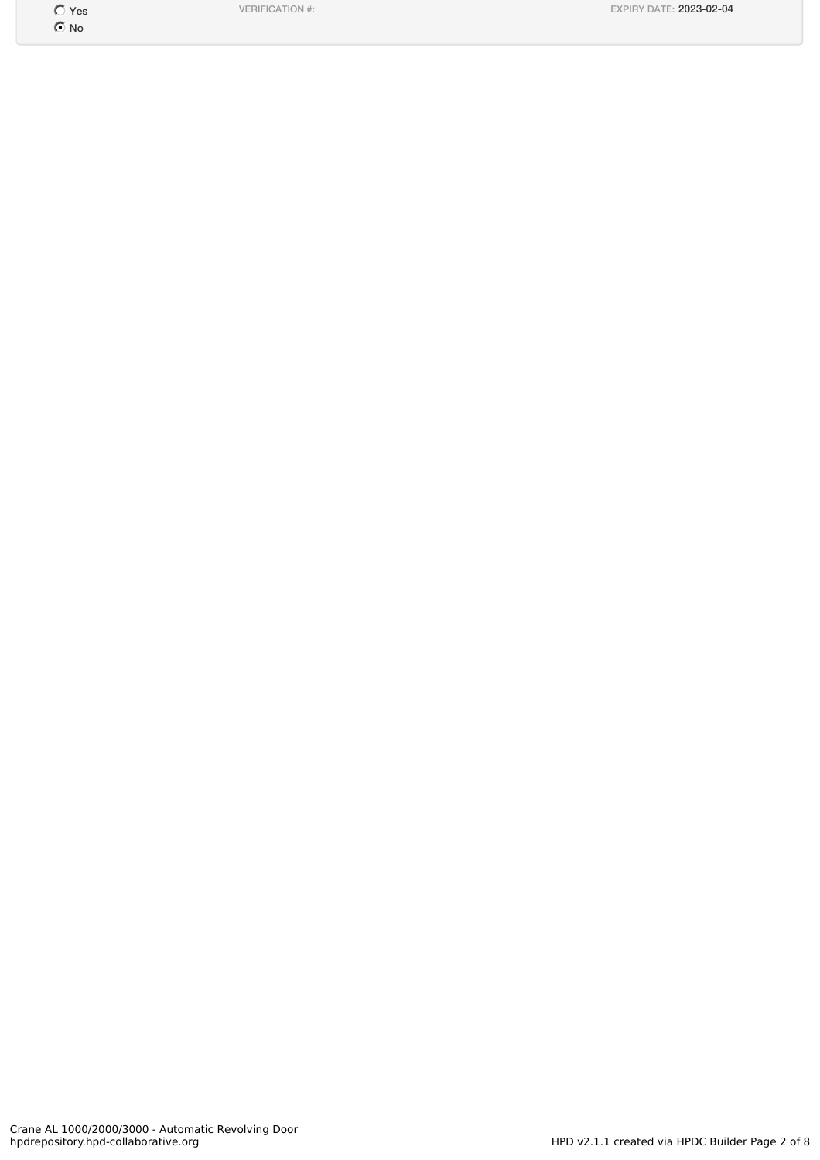O Yes No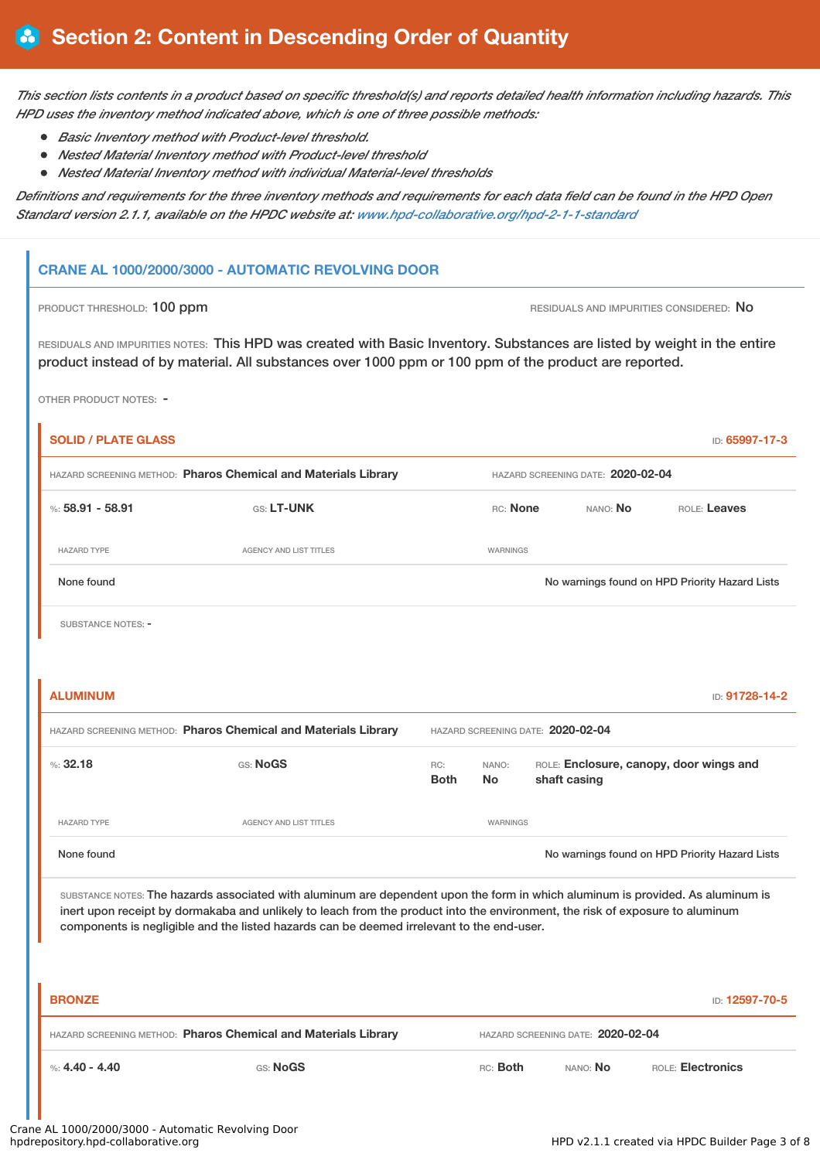This section lists contents in a product based on specific threshold(s) and reports detailed health information including hazards. This *HPD uses the inventory method indicated above, which is one of three possible methods:*

- *Basic Inventory method with Product-level threshold.*
- *Nested Material Inventory method with Product-level threshold*
- *Nested Material Inventory method with individual Material-level thresholds*

Definitions and requirements for the three inventory methods and requirements for each data field can be found in the HPD Open *Standard version 2.1.1, available on the HPDC website at: [www.hpd-collaborative.org/hpd-2-1-1-standard](https://www.hpd-collaborative.org/hpd-2-1-1-standard)*

## **CRANE AL 1000/2000/3000 - AUTOMATIC REVOLVING DOOR**

PRODUCT THRESHOLD: 100 ppm **RESIDUALS AND IMPURITIES CONSIDERED:** No

RESIDUALS AND IMPURITIES NOTES: This HPD was created with Basic Inventory. Substances are listed by weight in the entire product instead of by material. All substances over 1000 ppm or 100 ppm of the product are reported.

OTHER PRODUCT NOTES: -

| <b>SOLID / PLATE GLASS</b>                                                                          |                                                                                                                                                                                                                                                                                                                                                               |                    |                                   |  |                                   | ID: 65997-17-3                                 |
|-----------------------------------------------------------------------------------------------------|---------------------------------------------------------------------------------------------------------------------------------------------------------------------------------------------------------------------------------------------------------------------------------------------------------------------------------------------------------------|--------------------|-----------------------------------|--|-----------------------------------|------------------------------------------------|
| HAZARD SCREENING METHOD: Pharos Chemical and Materials Library                                      |                                                                                                                                                                                                                                                                                                                                                               |                    | HAZARD SCREENING DATE: 2020-02-04 |  |                                   |                                                |
| %: $58.91 - 58.91$                                                                                  | GS: LT-UNK                                                                                                                                                                                                                                                                                                                                                    |                    | RC: None                          |  | NANO: No                          | ROLE: Leaves                                   |
| <b>HAZARD TYPE</b>                                                                                  | <b>AGENCY AND LIST TITLES</b>                                                                                                                                                                                                                                                                                                                                 |                    | WARNINGS                          |  |                                   |                                                |
| None found                                                                                          |                                                                                                                                                                                                                                                                                                                                                               |                    |                                   |  |                                   | No warnings found on HPD Priority Hazard Lists |
| <b>SUBSTANCE NOTES: -</b>                                                                           |                                                                                                                                                                                                                                                                                                                                                               |                    |                                   |  |                                   |                                                |
|                                                                                                     |                                                                                                                                                                                                                                                                                                                                                               |                    |                                   |  |                                   |                                                |
| <b>ALUMINUM</b>                                                                                     |                                                                                                                                                                                                                                                                                                                                                               |                    |                                   |  |                                   | ID: 91728-14-2                                 |
| HAZARD SCREENING METHOD: Pharos Chemical and Materials Library<br>HAZARD SCREENING DATE: 2020-02-04 |                                                                                                                                                                                                                                                                                                                                                               |                    |                                   |  |                                   |                                                |
| %32.18                                                                                              | GS: NoGS                                                                                                                                                                                                                                                                                                                                                      | RC:<br><b>Both</b> | NANO:<br>No                       |  | shaft casing                      | ROLE: Enclosure, canopy, door wings and        |
| <b>HAZARD TYPE</b>                                                                                  | <b>AGENCY AND LIST TITLES</b>                                                                                                                                                                                                                                                                                                                                 |                    | <b>WARNINGS</b>                   |  |                                   |                                                |
| None found                                                                                          |                                                                                                                                                                                                                                                                                                                                                               |                    |                                   |  |                                   | No warnings found on HPD Priority Hazard Lists |
|                                                                                                     | SUBSTANCE NOTES: The hazards associated with aluminum are dependent upon the form in which aluminum is provided. As aluminum is<br>inert upon receipt by dormakaba and unlikely to leach from the product into the environment, the risk of exposure to aluminum<br>components is negligible and the listed hazards can be deemed irrelevant to the end-user. |                    |                                   |  |                                   |                                                |
| <b>BRONZE</b>                                                                                       |                                                                                                                                                                                                                                                                                                                                                               |                    |                                   |  |                                   | ID: 12597-70-5                                 |
|                                                                                                     | HAZARD SCREENING METHOD: Pharos Chemical and Materials Library                                                                                                                                                                                                                                                                                                |                    |                                   |  | HAZARD SCREENING DATE: 2020-02-04 |                                                |

%: **4.40 - 4.40** GS: **NoGS** RC: **Both** NANO: **No** ROLE: **Electronics**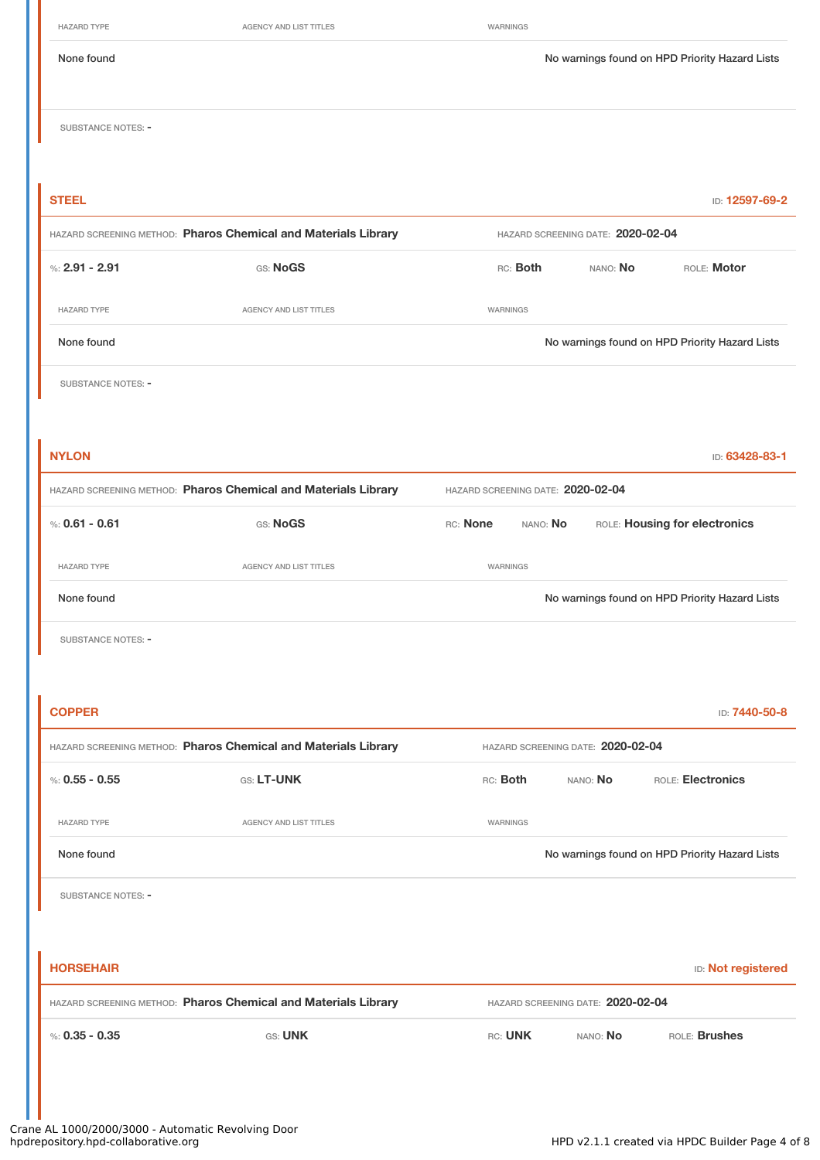| <b>HAZARD TYPE</b>        | AGENCY AND LIST TITLES                                         | WARNINGS                          |                                   |                                                |
|---------------------------|----------------------------------------------------------------|-----------------------------------|-----------------------------------|------------------------------------------------|
| None found                |                                                                |                                   |                                   | No warnings found on HPD Priority Hazard Lists |
| <b>SUBSTANCE NOTES: -</b> |                                                                |                                   |                                   |                                                |
|                           |                                                                |                                   |                                   |                                                |
| <b>STEEL</b>              |                                                                |                                   |                                   | ID: 12597-69-2                                 |
|                           | HAZARD SCREENING METHOD: Pharos Chemical and Materials Library |                                   | HAZARD SCREENING DATE: 2020-02-04 |                                                |
| %: $2.91 - 2.91$          | GS: NoGS                                                       | RC: Both<br>NANO: No              |                                   | ROLE: Motor                                    |
| <b>HAZARD TYPE</b>        | AGENCY AND LIST TITLES                                         | WARNINGS                          |                                   |                                                |
| None found                |                                                                |                                   |                                   | No warnings found on HPD Priority Hazard Lists |
| <b>SUBSTANCE NOTES: -</b> |                                                                |                                   |                                   |                                                |
|                           |                                                                |                                   |                                   |                                                |
| <b>NYLON</b>              |                                                                |                                   |                                   | ID: 63428-83-1                                 |
|                           | HAZARD SCREENING METHOD: Pharos Chemical and Materials Library | HAZARD SCREENING DATE: 2020-02-04 |                                   |                                                |
| %: $0.61 - 0.61$          | <b>GS: NoGS</b>                                                | RC: None<br>NANO: No              |                                   | ROLE: Housing for electronics                  |
| <b>HAZARD TYPE</b>        | AGENCY AND LIST TITLES                                         | WARNINGS                          |                                   |                                                |
| None found                |                                                                |                                   |                                   | No warnings found on HPD Priority Hazard Lists |
| SUBSTANCE NOTES: -        |                                                                |                                   |                                   |                                                |
|                           |                                                                |                                   |                                   |                                                |
| <b>COPPER</b>             |                                                                |                                   |                                   | ID: 7440-50-8                                  |
|                           | HAZARD SCREENING METHOD: Pharos Chemical and Materials Library |                                   | HAZARD SCREENING DATE: 2020-02-04 |                                                |
| %: $0.55 - 0.55$          | GS: LT-UNK                                                     | RC: Both                          | NANO: No                          | ROLE: Electronics                              |
| <b>HAZARD TYPE</b>        | AGENCY AND LIST TITLES                                         | WARNINGS                          |                                   |                                                |
| None found                |                                                                |                                   |                                   | No warnings found on HPD Priority Hazard Lists |
| SUBSTANCE NOTES: -        |                                                                |                                   |                                   |                                                |
|                           |                                                                |                                   |                                   |                                                |
| <b>HORSEHAIR</b>          |                                                                |                                   |                                   | <b>ID:</b> Not registered                      |
|                           | HAZARD SCREENING METHOD: Pharos Chemical and Materials Library |                                   | HAZARD SCREENING DATE: 2020-02-04 |                                                |
| %: $0.35 - 0.35$          | <b>GS: UNK</b>                                                 | RC: UNK                           | NANO: No                          | ROLE: Brushes                                  |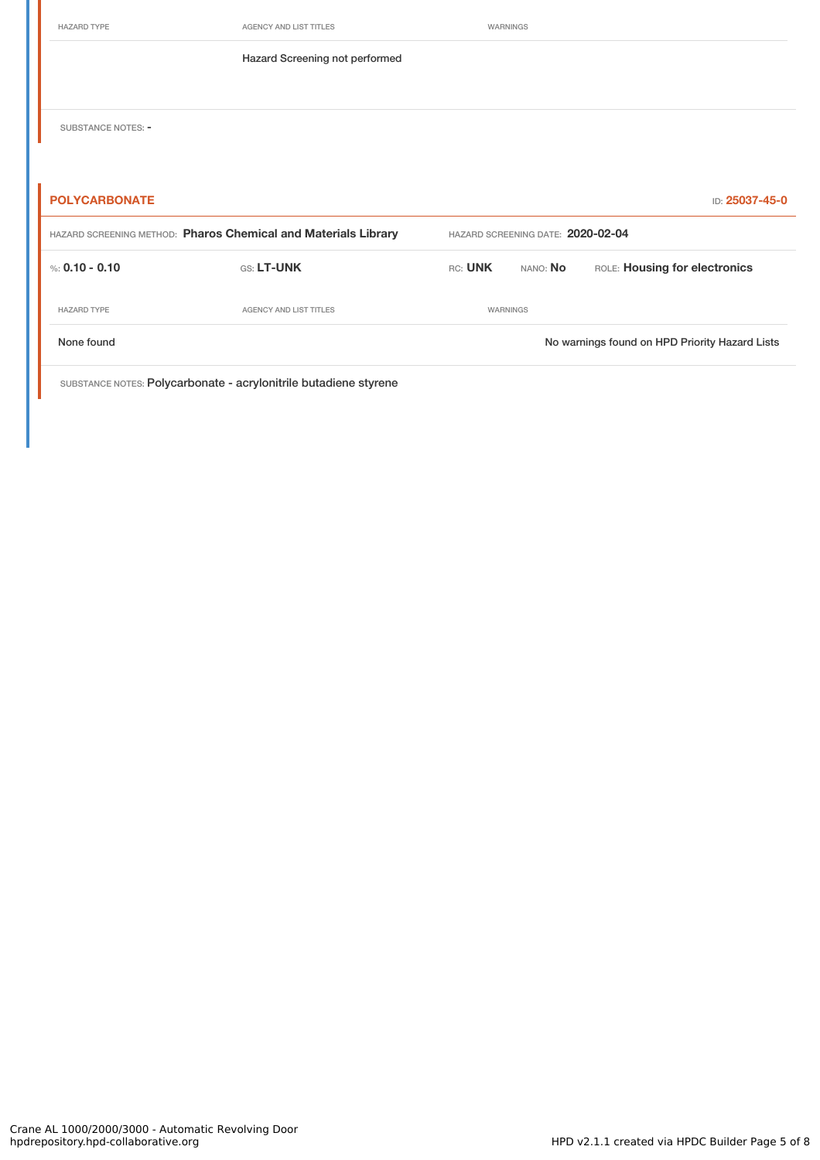| <b>HAZARD TYPE</b>                     | <b>AGENCY AND LIST TITLES</b>                                  | WARNINGS                          |          |                               |
|----------------------------------------|----------------------------------------------------------------|-----------------------------------|----------|-------------------------------|
|                                        | Hazard Screening not performed                                 |                                   |          |                               |
|                                        |                                                                |                                   |          |                               |
| SUBSTANCE NOTES: -                     |                                                                |                                   |          |                               |
|                                        |                                                                |                                   |          |                               |
|                                        |                                                                |                                   |          |                               |
| <b>POLYCARBONATE</b><br>ID: 25037-45-0 |                                                                |                                   |          |                               |
|                                        |                                                                |                                   |          |                               |
|                                        | HAZARD SCREENING METHOD: Pharos Chemical and Materials Library | HAZARD SCREENING DATE: 2020-02-04 |          |                               |
| %: $0.10 - 0.10$                       | GS: LT-UNK                                                     | RC: UNK                           | NANO: No | ROLE: Housing for electronics |
| <b>HAZARD TYPE</b>                     | <b>AGENCY AND LIST TITLES</b>                                  | WARNINGS                          |          |                               |

SUBSTANCE NOTES: Polycarbonate - acrylonitrile butadiene styrene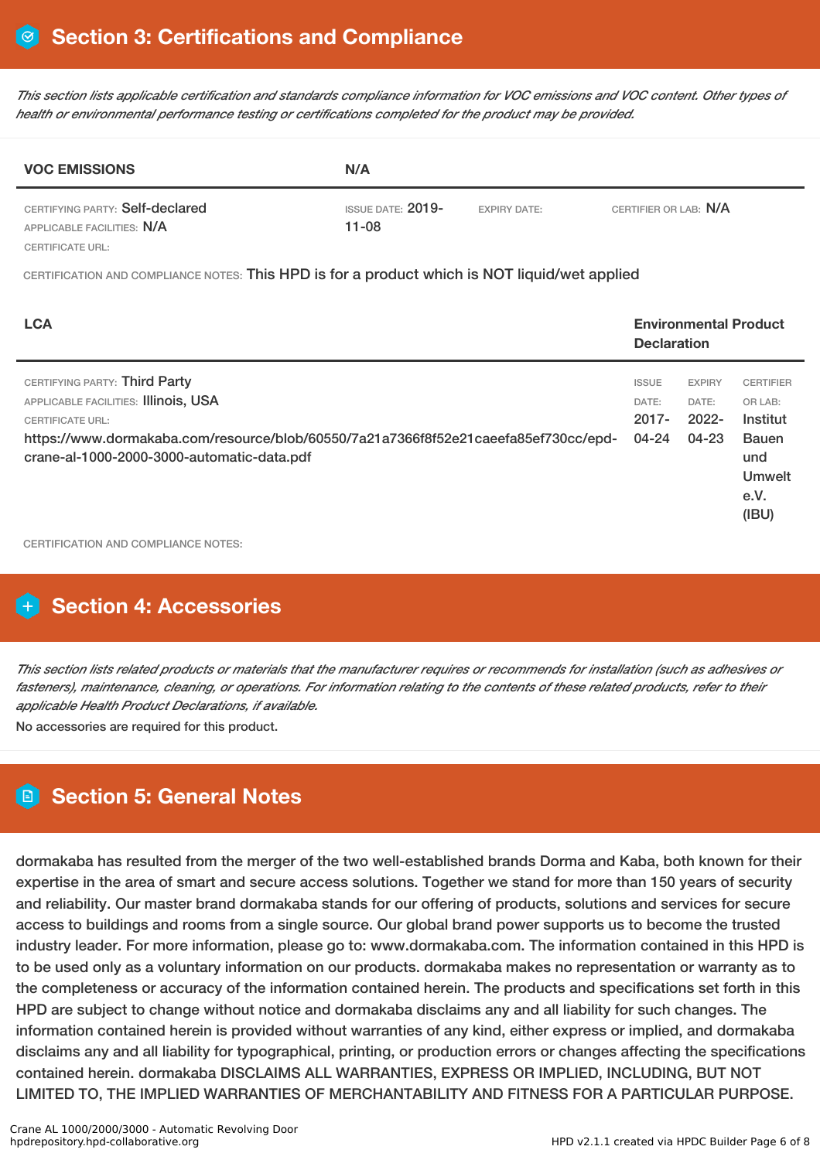This section lists applicable certification and standards compliance information for VOC emissions and VOC content. Other types of *health or environmental performance testing or certifications completed for the product may be provided.*

| <b>VOC EMISSIONS</b>                                          | N/A                              |                     |                       |  |  |
|---------------------------------------------------------------|----------------------------------|---------------------|-----------------------|--|--|
| CERTIFYING PARTY: Self-declared<br>APPLICABLE FACILITIES: N/A | ISSUE DATE: $2019-$<br>$11 - 08$ | <b>EXPIRY DATE:</b> | CERTIFIER OR LAB: N/A |  |  |
| CERTIFICATE URL:                                              |                                  |                     |                       |  |  |

CERTIFICATION AND COMPLIANCE NOTES: This HPD is for a product which is NOT liquid/wet applied

| <b>LCA</b>                                                                                                                                                                                                                            | <b>Environmental Product</b><br><b>Declaration</b> |                                             |                                                                                                  |
|---------------------------------------------------------------------------------------------------------------------------------------------------------------------------------------------------------------------------------------|----------------------------------------------------|---------------------------------------------|--------------------------------------------------------------------------------------------------|
| CERTIFYING PARTY: Third Party<br>APPLICABLE FACILITIES: Illinois, USA<br><b>CERTIFICATE URL:</b><br>https://www.dormakaba.com/resource/blob/60550/7a21a7366f8f52e21caeefa85ef730cc/epd-<br>crane-al-1000-2000-3000-automatic-data.pdf | <b>ISSUE</b><br>DATE:<br>$2017 -$<br>04-24         | <b>EXPIRY</b><br>DATE:<br>$2022 -$<br>04-23 | <b>CERTIFIER</b><br>OR LAB:<br>Institut<br><b>Bauen</b><br>und<br><b>Umwelt</b><br>e.V.<br>(IBU) |

CERTIFICATION AND COMPLIANCE NOTES:

# **Section 4: Accessories**

This section lists related products or materials that the manufacturer requires or recommends for installation (such as adhesives or fasteners), maintenance, cleaning, or operations. For information relating to the contents of these related products, refer to their *applicable Health Product Declarations, if available.*

No accessories are required for this product.

# **Section 5: General Notes**

dormakaba has resulted from the merger of the two well-established brands Dorma and Kaba, both known for their expertise in the area of smart and secure access solutions. Together we stand for more than 150 years of security and reliability. Our master brand dormakaba stands for our offering of products, solutions and services for secure access to buildings and rooms from a single source. Our global brand power supports us to become the trusted industry leader. For more information, please go to: www.dormakaba.com. The information contained in this HPD is to be used only as a voluntary information on our products. dormakaba makes no representation or warranty as to the completeness or accuracy of the information contained herein. The products and specifications set forth in this HPD are subject to change without notice and dormakaba disclaims any and all liability for such changes. The information contained herein is provided without warranties of any kind, either express or implied, and dormakaba disclaims any and all liability for typographical, printing, or production errors or changes affecting the specifications contained herein. dormakaba DISCLAIMS ALL WARRANTIES, EXPRESS OR IMPLIED, INCLUDING, BUT NOT LIMITED TO, THE IMPLIED WARRANTIES OF MERCHANTABILITY AND FITNESS FOR A PARTICULAR PURPOSE.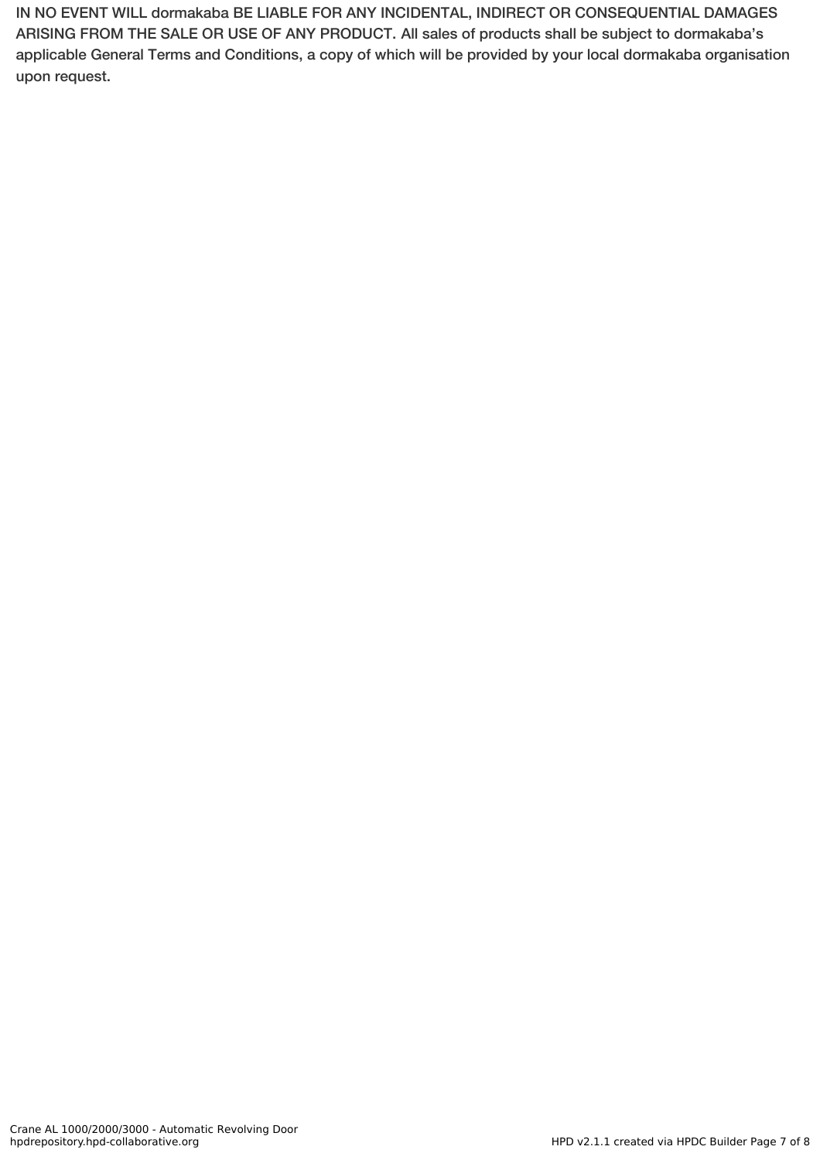IN NO EVENT WILL dormakaba BE LIABLE FOR ANY INCIDENTAL, INDIRECT OR CONSEQUENTIAL DAMAGES ARISING FROM THE SALE OR USE OF ANY PRODUCT. All sales of products shall be subject to dormakaba's applicable General Terms and Conditions, a copy of which will be provided by your local dormakaba organisation upon request.